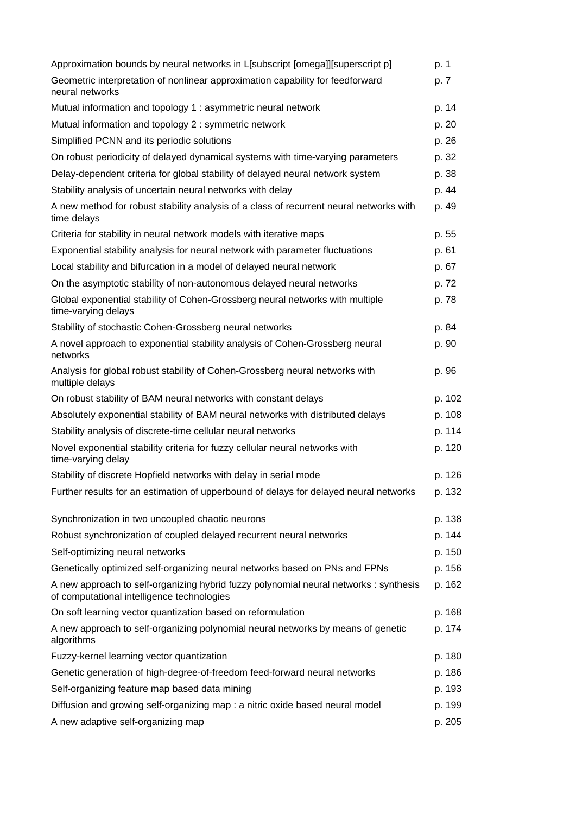| Approximation bounds by neural networks in L[subscript [omega]][superscript p]                                                      | p. 1   |
|-------------------------------------------------------------------------------------------------------------------------------------|--------|
| Geometric interpretation of nonlinear approximation capability for feedforward<br>neural networks                                   | p. 7   |
| Mutual information and topology 1 : asymmetric neural network                                                                       | p. 14  |
| Mutual information and topology 2 : symmetric network                                                                               | p. 20  |
| Simplified PCNN and its periodic solutions                                                                                          | p. 26  |
| On robust periodicity of delayed dynamical systems with time-varying parameters                                                     | p. 32  |
| Delay-dependent criteria for global stability of delayed neural network system                                                      | p. 38  |
| Stability analysis of uncertain neural networks with delay                                                                          | p. 44  |
| A new method for robust stability analysis of a class of recurrent neural networks with<br>time delays                              | p. 49  |
| Criteria for stability in neural network models with iterative maps                                                                 | p. 55  |
| Exponential stability analysis for neural network with parameter fluctuations                                                       | p. 61  |
| Local stability and bifurcation in a model of delayed neural network                                                                | p. 67  |
| On the asymptotic stability of non-autonomous delayed neural networks                                                               | p. 72  |
| Global exponential stability of Cohen-Grossberg neural networks with multiple<br>time-varying delays                                | p. 78  |
| Stability of stochastic Cohen-Grossberg neural networks                                                                             | p. 84  |
| A novel approach to exponential stability analysis of Cohen-Grossberg neural<br>networks                                            | p. 90  |
| Analysis for global robust stability of Cohen-Grossberg neural networks with<br>multiple delays                                     | p. 96  |
| On robust stability of BAM neural networks with constant delays                                                                     | p. 102 |
| Absolutely exponential stability of BAM neural networks with distributed delays                                                     | p. 108 |
| Stability analysis of discrete-time cellular neural networks                                                                        | p. 114 |
| Novel exponential stability criteria for fuzzy cellular neural networks with<br>time-varying delay                                  | p. 120 |
| Stability of discrete Hopfield networks with delay in serial mode                                                                   | p. 126 |
| Further results for an estimation of upperbound of delays for delayed neural networks                                               | p. 132 |
| Synchronization in two uncoupled chaotic neurons                                                                                    | p. 138 |
| Robust synchronization of coupled delayed recurrent neural networks                                                                 | p. 144 |
| Self-optimizing neural networks                                                                                                     | p. 150 |
| Genetically optimized self-organizing neural networks based on PNs and FPNs                                                         | p. 156 |
| A new approach to self-organizing hybrid fuzzy polynomial neural networks : synthesis<br>of computational intelligence technologies | p. 162 |
| On soft learning vector quantization based on reformulation                                                                         | p. 168 |
| A new approach to self-organizing polynomial neural networks by means of genetic<br>algorithms                                      | p. 174 |
| Fuzzy-kernel learning vector quantization                                                                                           | p. 180 |
| Genetic generation of high-degree-of-freedom feed-forward neural networks                                                           | p. 186 |
| Self-organizing feature map based data mining                                                                                       | p. 193 |
| Diffusion and growing self-organizing map : a nitric oxide based neural model                                                       | p. 199 |
| A new adaptive self-organizing map                                                                                                  | p. 205 |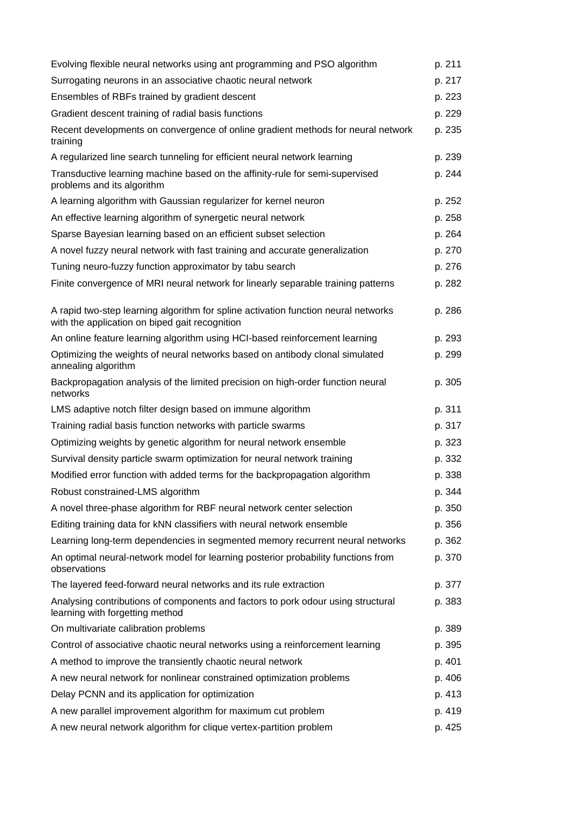| Evolving flexible neural networks using ant programming and PSO algorithm                                                            | p. 211 |
|--------------------------------------------------------------------------------------------------------------------------------------|--------|
| Surrogating neurons in an associative chaotic neural network                                                                         | p. 217 |
| Ensembles of RBFs trained by gradient descent                                                                                        | p. 223 |
| Gradient descent training of radial basis functions                                                                                  | p. 229 |
| Recent developments on convergence of online gradient methods for neural network<br>training                                         | p. 235 |
| A regularized line search tunneling for efficient neural network learning                                                            | p. 239 |
| Transductive learning machine based on the affinity-rule for semi-supervised<br>problems and its algorithm                           | p. 244 |
| A learning algorithm with Gaussian regularizer for kernel neuron                                                                     | p. 252 |
| An effective learning algorithm of synergetic neural network                                                                         | p. 258 |
| Sparse Bayesian learning based on an efficient subset selection                                                                      | p. 264 |
| A novel fuzzy neural network with fast training and accurate generalization                                                          | p. 270 |
| Tuning neuro-fuzzy function approximator by tabu search                                                                              | p. 276 |
| Finite convergence of MRI neural network for linearly separable training patterns                                                    | p. 282 |
| A rapid two-step learning algorithm for spline activation function neural networks<br>with the application on biped gait recognition | p. 286 |
| An online feature learning algorithm using HCI-based reinforcement learning                                                          | p. 293 |
| Optimizing the weights of neural networks based on antibody clonal simulated<br>annealing algorithm                                  | p. 299 |
| Backpropagation analysis of the limited precision on high-order function neural<br>networks                                          | p. 305 |
| LMS adaptive notch filter design based on immune algorithm                                                                           | p. 311 |
| Training radial basis function networks with particle swarms                                                                         | p. 317 |
| Optimizing weights by genetic algorithm for neural network ensemble                                                                  | p. 323 |
| Survival density particle swarm optimization for neural network training                                                             | p. 332 |
| Modified error function with added terms for the backpropagation algorithm                                                           | p. 338 |
| Robust constrained-LMS algorithm                                                                                                     | p. 344 |
| A novel three-phase algorithm for RBF neural network center selection                                                                | p. 350 |
| Editing training data for kNN classifiers with neural network ensemble                                                               | p. 356 |
| Learning long-term dependencies in segmented memory recurrent neural networks                                                        | p. 362 |
| An optimal neural-network model for learning posterior probability functions from<br>observations                                    | p. 370 |
| The layered feed-forward neural networks and its rule extraction                                                                     | p. 377 |
| Analysing contributions of components and factors to pork odour using structural<br>learning with forgetting method                  | p. 383 |
| On multivariate calibration problems                                                                                                 | p. 389 |
| Control of associative chaotic neural networks using a reinforcement learning                                                        | p. 395 |
| A method to improve the transiently chaotic neural network                                                                           | p. 401 |
| A new neural network for nonlinear constrained optimization problems                                                                 | p. 406 |
| Delay PCNN and its application for optimization                                                                                      | p. 413 |
| A new parallel improvement algorithm for maximum cut problem                                                                         | p. 419 |
| A new neural network algorithm for clique vertex-partition problem                                                                   | p. 425 |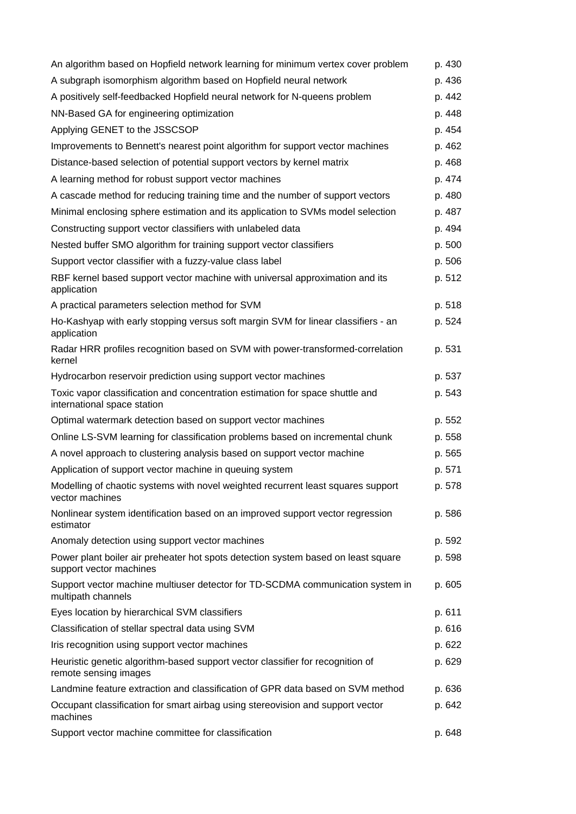| An algorithm based on Hopfield network learning for minimum vertex cover problem                             | p. 430 |
|--------------------------------------------------------------------------------------------------------------|--------|
| A subgraph isomorphism algorithm based on Hopfield neural network                                            | p. 436 |
| A positively self-feedbacked Hopfield neural network for N-queens problem                                    | p. 442 |
| NN-Based GA for engineering optimization                                                                     | p. 448 |
| Applying GENET to the JSSCSOP                                                                                | p. 454 |
| Improvements to Bennett's nearest point algorithm for support vector machines                                | p. 462 |
| Distance-based selection of potential support vectors by kernel matrix                                       | p. 468 |
| A learning method for robust support vector machines                                                         | p. 474 |
| A cascade method for reducing training time and the number of support vectors                                | p. 480 |
| Minimal enclosing sphere estimation and its application to SVMs model selection                              | p. 487 |
| Constructing support vector classifiers with unlabeled data                                                  | p. 494 |
| Nested buffer SMO algorithm for training support vector classifiers                                          | p. 500 |
| Support vector classifier with a fuzzy-value class label                                                     | p. 506 |
| RBF kernel based support vector machine with universal approximation and its<br>application                  | p. 512 |
| A practical parameters selection method for SVM                                                              | p. 518 |
| Ho-Kashyap with early stopping versus soft margin SVM for linear classifiers - an<br>application             | p. 524 |
| Radar HRR profiles recognition based on SVM with power-transformed-correlation<br>kernel                     | p. 531 |
| Hydrocarbon reservoir prediction using support vector machines                                               | p. 537 |
| Toxic vapor classification and concentration estimation for space shuttle and<br>international space station | p. 543 |
| Optimal watermark detection based on support vector machines                                                 | p. 552 |
| Online LS-SVM learning for classification problems based on incremental chunk                                | p. 558 |
| A novel approach to clustering analysis based on support vector machine                                      | p. 565 |
| Application of support vector machine in queuing system                                                      | p. 571 |
| Modelling of chaotic systems with novel weighted recurrent least squares support<br>vector machines          | p. 578 |
| Nonlinear system identification based on an improved support vector regression<br>estimator                  | p. 586 |
| Anomaly detection using support vector machines                                                              | p. 592 |
| Power plant boiler air preheater hot spots detection system based on least square<br>support vector machines | p. 598 |
| Support vector machine multiuser detector for TD-SCDMA communication system in<br>multipath channels         | p. 605 |
| Eyes location by hierarchical SVM classifiers                                                                | p. 611 |
| Classification of stellar spectral data using SVM                                                            | p. 616 |
| Iris recognition using support vector machines                                                               | p. 622 |
| Heuristic genetic algorithm-based support vector classifier for recognition of<br>remote sensing images      | p. 629 |
| Landmine feature extraction and classification of GPR data based on SVM method                               | p. 636 |
| Occupant classification for smart airbag using stereovision and support vector<br>machines                   | p. 642 |
| Support vector machine committee for classification                                                          | p. 648 |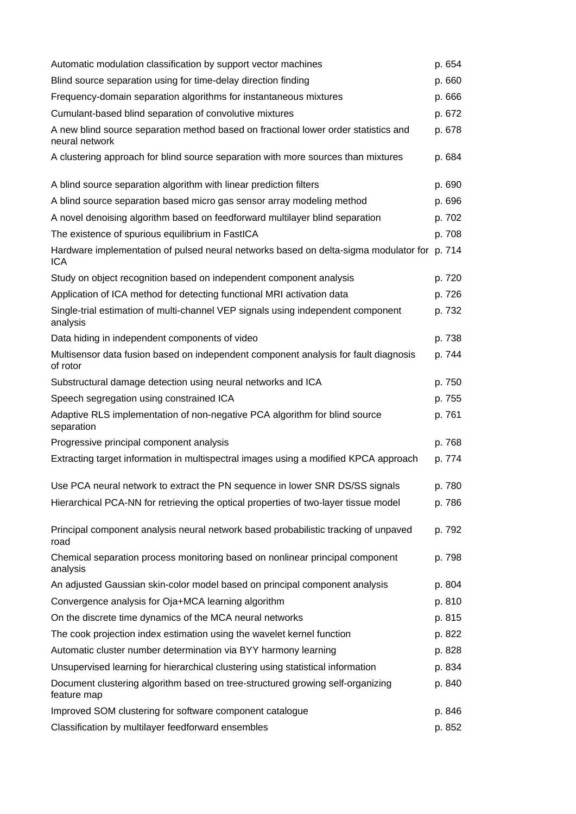| Automatic modulation classification by support vector machines                                            | p. 654 |
|-----------------------------------------------------------------------------------------------------------|--------|
| Blind source separation using for time-delay direction finding                                            | p. 660 |
| Frequency-domain separation algorithms for instantaneous mixtures                                         | p. 666 |
| Cumulant-based blind separation of convolutive mixtures                                                   | p. 672 |
| A new blind source separation method based on fractional lower order statistics and<br>neural network     | p. 678 |
| A clustering approach for blind source separation with more sources than mixtures                         | p. 684 |
| A blind source separation algorithm with linear prediction filters                                        | p. 690 |
| A blind source separation based micro gas sensor array modeling method                                    | p. 696 |
| A novel denoising algorithm based on feedforward multilayer blind separation                              | p. 702 |
| The existence of spurious equilibrium in FastICA                                                          | p. 708 |
| Hardware implementation of pulsed neural networks based on delta-sigma modulator for p. 714<br><b>ICA</b> |        |
| Study on object recognition based on independent component analysis                                       | p. 720 |
| Application of ICA method for detecting functional MRI activation data                                    | p. 726 |
| Single-trial estimation of multi-channel VEP signals using independent component<br>analysis              | p. 732 |
| Data hiding in independent components of video                                                            | p. 738 |
| Multisensor data fusion based on independent component analysis for fault diagnosis<br>of rotor           | p. 744 |
| Substructural damage detection using neural networks and ICA                                              | p. 750 |
| Speech segregation using constrained ICA                                                                  | p. 755 |
| Adaptive RLS implementation of non-negative PCA algorithm for blind source<br>separation                  | p. 761 |
| Progressive principal component analysis                                                                  | p. 768 |
| Extracting target information in multispectral images using a modified KPCA approach                      | p. 774 |
| Use PCA neural network to extract the PN sequence in lower SNR DS/SS signals                              | p. 780 |
| Hierarchical PCA-NN for retrieving the optical properties of two-layer tissue model                       | p. 786 |
| Principal component analysis neural network based probabilistic tracking of unpaved<br>road               | p. 792 |
| Chemical separation process monitoring based on nonlinear principal component<br>analysis                 | p. 798 |
| An adjusted Gaussian skin-color model based on principal component analysis                               | p. 804 |
| Convergence analysis for Oja+MCA learning algorithm                                                       | p. 810 |
| On the discrete time dynamics of the MCA neural networks                                                  | p. 815 |
| The cook projection index estimation using the wavelet kernel function                                    | p. 822 |
| Automatic cluster number determination via BYY harmony learning                                           | p. 828 |
| Unsupervised learning for hierarchical clustering using statistical information                           | p. 834 |
| Document clustering algorithm based on tree-structured growing self-organizing<br>feature map             | p. 840 |
| Improved SOM clustering for software component catalogue                                                  | p. 846 |
| Classification by multilayer feedforward ensembles                                                        | p. 852 |